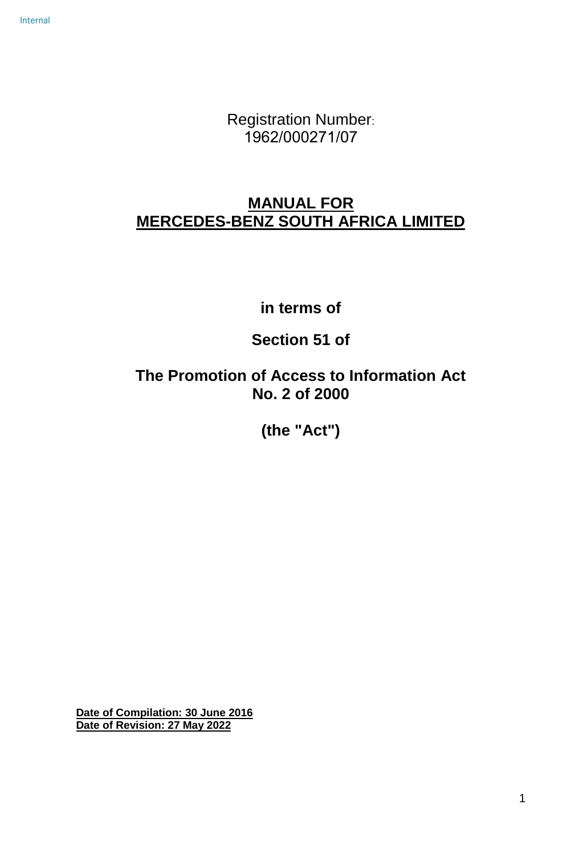Internal

Registration Number: 1962/000271/07

# **MANUAL FOR MERCEDES-BENZ SOUTH AFRICA LIMITED**

**in terms of**

**Section 51 of**

**The Promotion of Access to Information Act No. 2 of 2000** 

**(the "Act")**

**Date of Compilation: 30 June 2016 Date of Revision: 27 May 2022**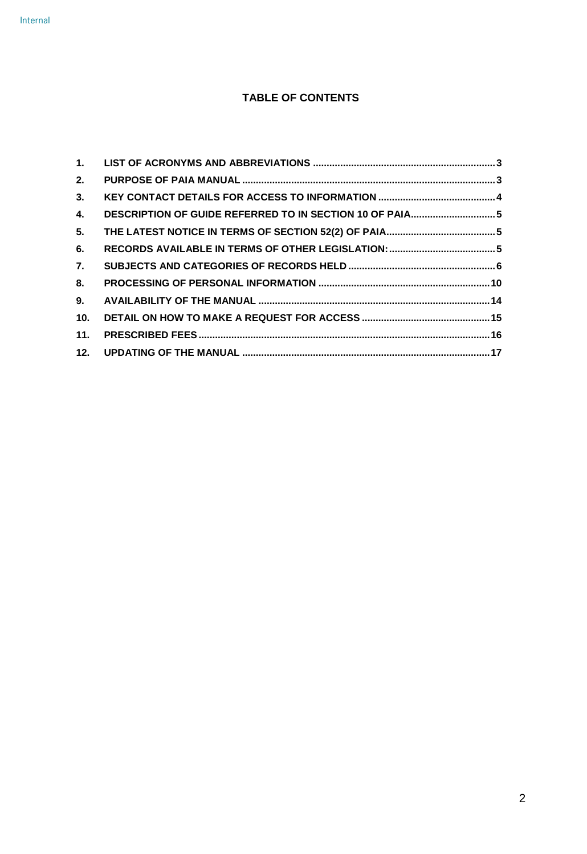# **TABLE OF CONTENTS**

| 2.  |                                                         |  |
|-----|---------------------------------------------------------|--|
| 3.  |                                                         |  |
| 4.  | DESCRIPTION OF GUIDE REFERRED TO IN SECTION 10 OF PAIA5 |  |
| 5.  |                                                         |  |
| 6.  |                                                         |  |
| 7.  |                                                         |  |
| 8.  |                                                         |  |
| 9.  |                                                         |  |
| 10. |                                                         |  |
|     |                                                         |  |
|     |                                                         |  |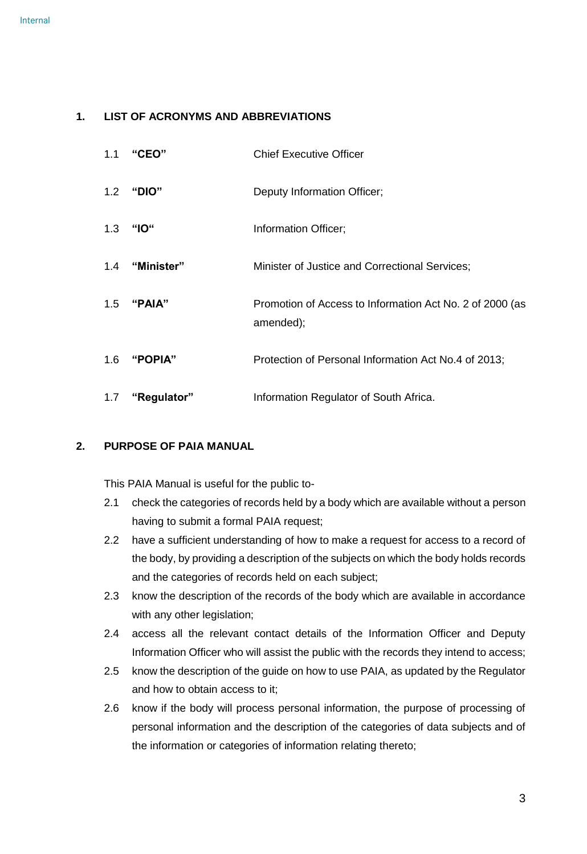### <span id="page-2-0"></span>**1. LIST OF ACRONYMS AND ABBREVIATIONS**

| 1.1 | "CEO"               | <b>Chief Executive Officer</b>                                        |
|-----|---------------------|-----------------------------------------------------------------------|
|     | 1.2 "DIO"           | Deputy Information Officer;                                           |
| 1.3 | "IO"                | Information Officer;                                                  |
|     | 1.4 "Minister"      | Minister of Justice and Correctional Services;                        |
|     | 1.5 "PAIA"          | Promotion of Access to Information Act No. 2 of 2000 (as<br>amended); |
|     | 1.6 " <b>POPIA"</b> | Protection of Personal Information Act No.4 of 2013;                  |
| 1.7 | "Regulator"         | Information Regulator of South Africa.                                |

# <span id="page-2-1"></span>**2. PURPOSE OF PAIA MANUAL**

This PAIA Manual is useful for the public to-

- 2.1 check the categories of records held by a body which are available without a person having to submit a formal PAIA request;
- 2.2 have a sufficient understanding of how to make a request for access to a record of the body, by providing a description of the subjects on which the body holds records and the categories of records held on each subject;
- 2.3 know the description of the records of the body which are available in accordance with any other legislation;
- 2.4 access all the relevant contact details of the Information Officer and Deputy Information Officer who will assist the public with the records they intend to access;
- 2.5 know the description of the guide on how to use PAIA, as updated by the Regulator and how to obtain access to it;
- 2.6 know if the body will process personal information, the purpose of processing of personal information and the description of the categories of data subjects and of the information or categories of information relating thereto;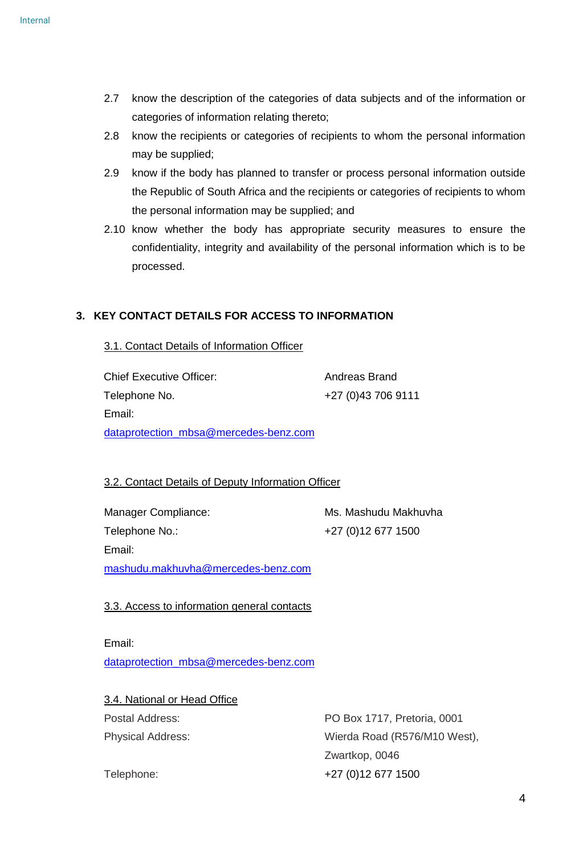- 2.7 know the description of the categories of data subjects and of the information or categories of information relating thereto;
- 2.8 know the recipients or categories of recipients to whom the personal information may be supplied;
- 2.9 know if the body has planned to transfer or process personal information outside the Republic of South Africa and the recipients or categories of recipients to whom the personal information may be supplied; and
- 2.10 know whether the body has appropriate security measures to ensure the confidentiality, integrity and availability of the personal information which is to be processed.

# <span id="page-3-0"></span>**3. KEY CONTACT DETAILS FOR ACCESS TO INFORMATION**

# 3.1. Contact Details of Information Officer

Chief Executive Officer: Andreas Brand Telephone No.  $+27 (0)43 706 9111$ Email: [dataprotection\\_mbsa@mercedes-benz.com](mailto:dataprotection_mbsa@mercedes-benz.com)

# 3.2. Contact Details of Deputy Information Officer

Manager Compliance: Ms. Mashudu Makhuvha Telephone No.: +27 (0)12 677 1500

Email:

[mashudu.makhuvha@mercedes-benz.com](mailto:mashudu.makhuvha@mercedes-benz.com)

3.3. Access to information general contacts

Email:

[dataprotection\\_mbsa@mercedes-benz.com](mailto:dataprotection_mbsa@mercedes-benz.com)

3.4. National or Head Office

Postal Address: PO Box 1717, Pretoria, 0001 Physical Address: Wierda Road (R576/M10 West), Zwartkop, 0046 Telephone: +27 (0)12 677 1500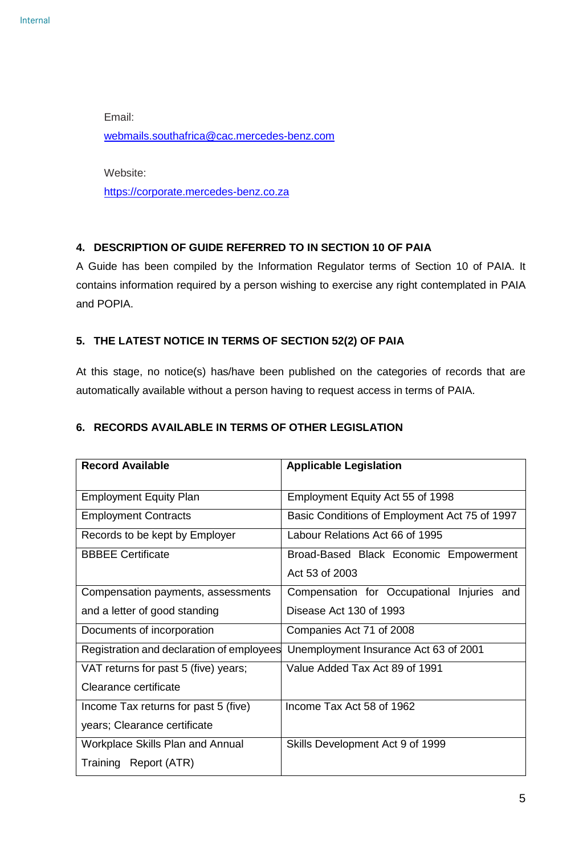Email: [webmails.southafrica@cac.mercedes-benz.com](mailto:webmails.southafrica@cac.mercedes-benz.com)

Website: [https://corporate.mercedes-benz.co.za](https://corporate.mercedes-benz.co.za/)

# <span id="page-4-0"></span>**4. DESCRIPTION OF GUIDE REFERRED TO IN SECTION 10 OF PAIA**

A Guide has been compiled by the Information Regulator terms of Section 10 of PAIA. It contains information required by a person wishing to exercise any right contemplated in PAIA and POPIA.

# <span id="page-4-1"></span>**5. THE LATEST NOTICE IN TERMS OF SECTION 52(2) OF PAIA**

At this stage, no notice(s) has/have been published on the categories of records that are automatically available without a person having to request access in terms of PAIA.

# <span id="page-4-2"></span>**6. RECORDS AVAILABLE IN TERMS OF OTHER LEGISLATION**

| <b>Record Available</b>                   | <b>Applicable Legislation</b>                 |
|-------------------------------------------|-----------------------------------------------|
| <b>Employment Equity Plan</b>             | Employment Equity Act 55 of 1998              |
| <b>Employment Contracts</b>               | Basic Conditions of Employment Act 75 of 1997 |
| Records to be kept by Employer            | Labour Relations Act 66 of 1995               |
| <b>BBBEE Certificate</b>                  | Broad-Based Black Economic Empowerment        |
|                                           | Act 53 of 2003                                |
| Compensation payments, assessments        | Compensation for Occupational Injuries and    |
| and a letter of good standing             | Disease Act 130 of 1993                       |
| Documents of incorporation                | Companies Act 71 of 2008                      |
| Registration and declaration of employees | Unemployment Insurance Act 63 of 2001         |
| VAT returns for past 5 (five) years;      | Value Added Tax Act 89 of 1991                |
| Clearance certificate                     |                                               |
| Income Tax returns for past 5 (five)      | Income Tax Act 58 of 1962                     |
| years; Clearance certificate              |                                               |
| <b>Workplace Skills Plan and Annual</b>   | Skills Development Act 9 of 1999              |
| Training Report (ATR)                     |                                               |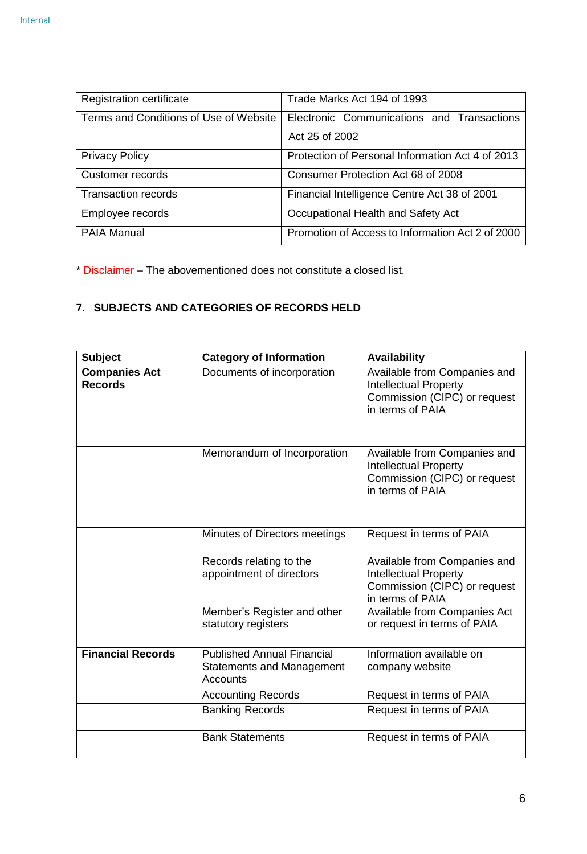| <b>Registration certificate</b>        | Trade Marks Act 194 of 1993                      |  |
|----------------------------------------|--------------------------------------------------|--|
|                                        |                                                  |  |
| Terms and Conditions of Use of Website | Electronic Communications and Transactions       |  |
|                                        |                                                  |  |
|                                        | Act 25 of 2002                                   |  |
|                                        |                                                  |  |
| <b>Privacy Policy</b>                  | Protection of Personal Information Act 4 of 2013 |  |
|                                        |                                                  |  |
| Customer records                       | Consumer Protection Act 68 of 2008               |  |
|                                        |                                                  |  |
| <b>Transaction records</b>             | Financial Intelligence Centre Act 38 of 2001     |  |
|                                        |                                                  |  |
| Employee records                       | Occupational Health and Safety Act               |  |
|                                        |                                                  |  |
| <b>PAIA Manual</b>                     | Promotion of Access to Information Act 2 of 2000 |  |
|                                        |                                                  |  |
|                                        |                                                  |  |

\* Disclaimer – The abovementioned does not constitute a closed list.

# <span id="page-5-0"></span>**7. SUBJECTS AND CATEGORIES OF RECORDS HELD**

| <b>Subject</b>                         | <b>Category of Information</b>                                                           | <b>Availability</b>                                                                                              |
|----------------------------------------|------------------------------------------------------------------------------------------|------------------------------------------------------------------------------------------------------------------|
| <b>Companies Act</b><br><b>Records</b> | Documents of incorporation                                                               | Available from Companies and<br><b>Intellectual Property</b><br>Commission (CIPC) or request<br>in terms of PAIA |
|                                        | Memorandum of Incorporation                                                              | Available from Companies and<br><b>Intellectual Property</b><br>Commission (CIPC) or request<br>in terms of PAIA |
|                                        | Minutes of Directors meetings                                                            | Request in terms of PAIA                                                                                         |
|                                        | Records relating to the<br>appointment of directors                                      | Available from Companies and<br><b>Intellectual Property</b><br>Commission (CIPC) or request<br>in terms of PAIA |
|                                        | Member's Register and other<br>statutory registers                                       | Available from Companies Act<br>or request in terms of PAIA                                                      |
|                                        |                                                                                          |                                                                                                                  |
| <b>Financial Records</b>               | <b>Published Annual Financial</b><br><b>Statements and Management</b><br><b>Accounts</b> | Information available on<br>company website                                                                      |
|                                        | <b>Accounting Records</b>                                                                | Request in terms of PAIA                                                                                         |
|                                        | <b>Banking Records</b>                                                                   | Request in terms of PAIA                                                                                         |
|                                        | <b>Bank Statements</b>                                                                   | Request in terms of PAIA                                                                                         |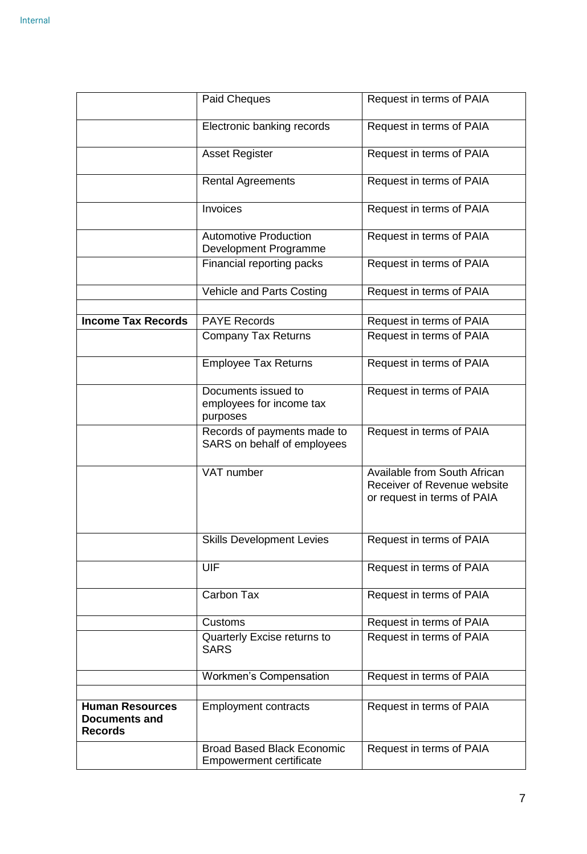|                                                                  | Paid Cheques                                                        | Request in terms of PAIA                                                                          |
|------------------------------------------------------------------|---------------------------------------------------------------------|---------------------------------------------------------------------------------------------------|
|                                                                  | Electronic banking records                                          | Request in terms of PAIA                                                                          |
|                                                                  | <b>Asset Register</b>                                               | Request in terms of PAIA                                                                          |
|                                                                  | <b>Rental Agreements</b>                                            | Request in terms of PAIA                                                                          |
|                                                                  | Invoices                                                            | Request in terms of PAIA                                                                          |
|                                                                  | <b>Automotive Production</b><br>Development Programme               | Request in terms of PAIA                                                                          |
|                                                                  | Financial reporting packs                                           | Request in terms of PAIA                                                                          |
|                                                                  | Vehicle and Parts Costing                                           | Request in terms of PAIA                                                                          |
| <b>Income Tax Records</b>                                        | <b>PAYE Records</b>                                                 | Request in terms of PAIA                                                                          |
|                                                                  | <b>Company Tax Returns</b>                                          | Request in terms of PAIA                                                                          |
|                                                                  | <b>Employee Tax Returns</b>                                         | Request in terms of PAIA                                                                          |
|                                                                  | Documents issued to<br>employees for income tax<br>purposes         | Request in terms of PAIA                                                                          |
|                                                                  | Records of payments made to<br>SARS on behalf of employees          | Request in terms of PAIA                                                                          |
|                                                                  | VAT number                                                          | <b>Available from South African</b><br>Receiver of Revenue website<br>or request in terms of PAIA |
|                                                                  | <b>Skills Development Levies</b>                                    | Request in terms of PAIA                                                                          |
|                                                                  | UIF                                                                 | Request in terms of PAIA                                                                          |
|                                                                  | Carbon Tax                                                          | Request in terms of PAIA                                                                          |
|                                                                  | <b>Customs</b>                                                      | Request in terms of PAIA                                                                          |
|                                                                  | Quarterly Excise returns to<br><b>SARS</b>                          | Request in terms of PAIA                                                                          |
|                                                                  | <b>Workmen's Compensation</b>                                       | Request in terms of PAIA                                                                          |
| <b>Human Resources</b><br><b>Documents and</b><br><b>Records</b> | <b>Employment contracts</b>                                         | Request in terms of PAIA                                                                          |
|                                                                  | <b>Broad Based Black Economic</b><br><b>Empowerment certificate</b> | Request in terms of PAIA                                                                          |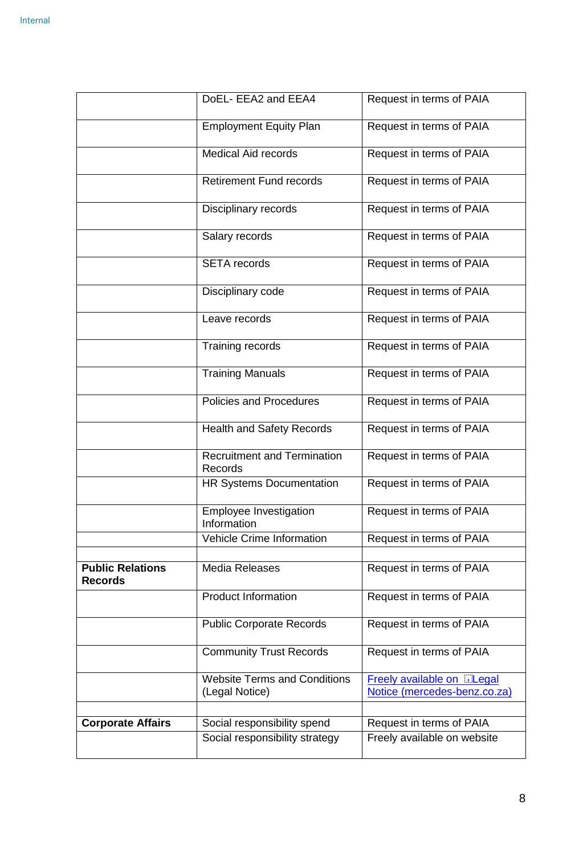|                                           | DoEL- EEA2 and EEA4                                   | Request in terms of PAIA                                          |
|-------------------------------------------|-------------------------------------------------------|-------------------------------------------------------------------|
|                                           | <b>Employment Equity Plan</b>                         | Request in terms of PAIA                                          |
|                                           | <b>Medical Aid records</b>                            | Request in terms of PAIA                                          |
|                                           | <b>Retirement Fund records</b>                        | Request in terms of PAIA                                          |
|                                           | Disciplinary records                                  | Request in terms of PAIA                                          |
|                                           | Salary records                                        | Request in terms of PAIA                                          |
|                                           | <b>SETA</b> records                                   | Request in terms of PAIA                                          |
|                                           | Disciplinary code                                     | Request in terms of PAIA                                          |
|                                           | Leave records                                         | Request in terms of PAIA                                          |
|                                           | Training records                                      | Request in terms of PAIA                                          |
|                                           | <b>Training Manuals</b>                               | Request in terms of PAIA                                          |
|                                           | Policies and Procedures                               | Request in terms of PAIA                                          |
|                                           | <b>Health and Safety Records</b>                      | Request in terms of PAIA                                          |
|                                           | <b>Recruitment and Termination</b><br>Records         | Request in terms of PAIA                                          |
|                                           | <b>HR Systems Documentation</b>                       | Request in terms of PAIA                                          |
|                                           | Employee Investigation<br>Information                 | Request in terms of PAIA                                          |
|                                           | <b>Vehicle Crime Information</b>                      | Request in terms of PAIA                                          |
| <b>Public Relations</b><br><b>Records</b> | <b>Media Releases</b>                                 | Request in terms of PAIA                                          |
|                                           | <b>Product Information</b>                            | Request in terms of PAIA                                          |
|                                           | <b>Public Corporate Records</b>                       | Request in terms of PAIA                                          |
|                                           | <b>Community Trust Records</b>                        | Request in terms of PAIA                                          |
|                                           | <b>Website Terms and Conditions</b><br>(Legal Notice) | <b>Freely available on DLegal</b><br>Notice (mercedes-benz.co.za) |
| <b>Corporate Affairs</b>                  | Social responsibility spend                           | Request in terms of PAIA                                          |
|                                           | Social responsibility strategy                        | Freely available on website                                       |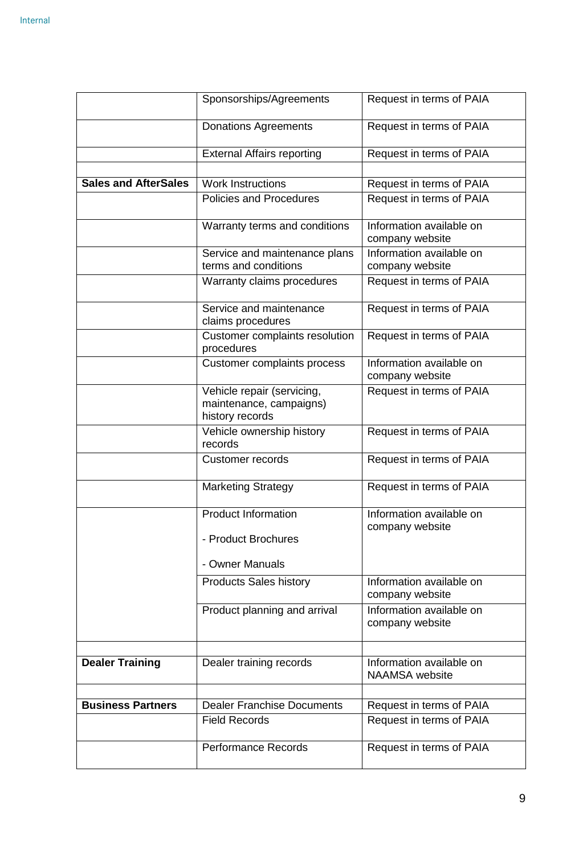|                             | Sponsorships/Agreements                                                  | Request in terms of PAIA                    |
|-----------------------------|--------------------------------------------------------------------------|---------------------------------------------|
|                             | <b>Donations Agreements</b>                                              | Request in terms of PAIA                    |
|                             | <b>External Affairs reporting</b>                                        | Request in terms of PAIA                    |
| <b>Sales and AfterSales</b> | <b>Work Instructions</b>                                                 | Request in terms of PAIA                    |
|                             | <b>Policies and Procedures</b>                                           | Request in terms of PAIA                    |
|                             | Warranty terms and conditions                                            | Information available on<br>company website |
|                             | Service and maintenance plans                                            | Information available on                    |
|                             | terms and conditions                                                     | company website                             |
|                             | Warranty claims procedures                                               | Request in terms of PAIA                    |
|                             | Service and maintenance<br>claims procedures                             | Request in terms of PAIA                    |
|                             | Customer complaints resolution<br>procedures                             | Request in terms of PAIA                    |
|                             | Customer complaints process                                              | Information available on<br>company website |
|                             | Vehicle repair (servicing,<br>maintenance, campaigns)<br>history records | Request in terms of PAIA                    |
|                             | Vehicle ownership history<br>records                                     | Request in terms of PAIA                    |
|                             | <b>Customer records</b>                                                  | Request in terms of PAIA                    |
|                             | <b>Marketing Strategy</b>                                                | Request in terms of PAIA                    |
|                             | <b>Product Information</b>                                               | Information available on<br>company website |
|                             | - Product Brochures                                                      |                                             |
|                             | - Owner Manuals                                                          |                                             |
|                             | <b>Products Sales history</b>                                            | Information available on<br>company website |
|                             | Product planning and arrival                                             | Information available on<br>company website |
| <b>Dealer Training</b>      | Dealer training records                                                  | Information available on                    |
|                             |                                                                          | <b>NAAMSA</b> website                       |
| <b>Business Partners</b>    | <b>Dealer Franchise Documents</b>                                        | Request in terms of PAIA                    |
|                             | <b>Field Records</b>                                                     | Request in terms of PAIA                    |
|                             |                                                                          |                                             |
|                             | <b>Performance Records</b>                                               | Request in terms of PAIA                    |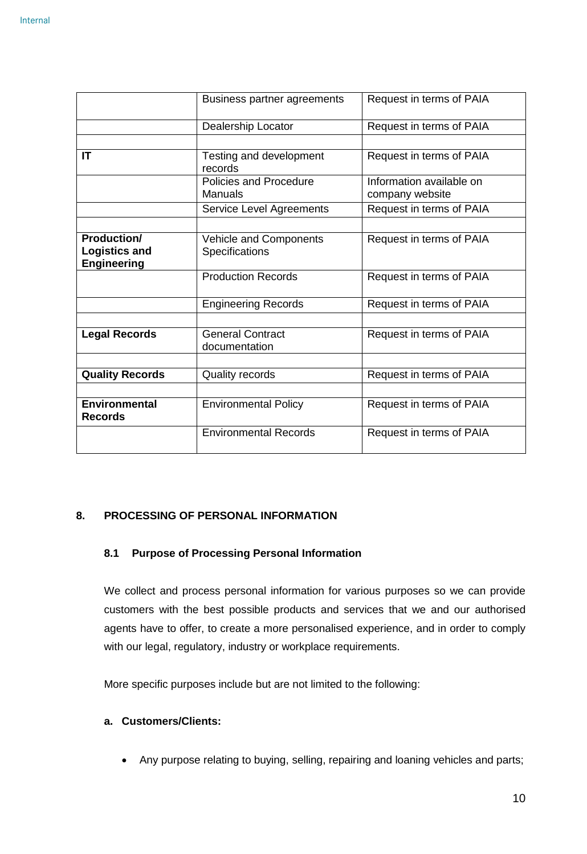|                                            | Business partner agreements                     | Request in terms of PAIA                    |
|--------------------------------------------|-------------------------------------------------|---------------------------------------------|
|                                            | Dealership Locator                              | Request in terms of PAIA                    |
|                                            |                                                 |                                             |
| IT                                         | Testing and development<br>records              | Request in terms of PAIA                    |
|                                            | <b>Policies and Procedure</b><br><b>Manuals</b> | Information available on<br>company website |
|                                            | <b>Service Level Agreements</b>                 | Request in terms of PAIA                    |
|                                            |                                                 |                                             |
| <b>Production/</b>                         | <b>Vehicle and Components</b>                   | Request in terms of PAIA                    |
| <b>Logistics and</b><br><b>Engineering</b> | <b>Specifications</b>                           |                                             |
|                                            | <b>Production Records</b>                       | Request in terms of PAIA                    |
| <b>Engineering Records</b>                 |                                                 | Request in terms of PAIA                    |
|                                            |                                                 |                                             |
| <b>Legal Records</b>                       | <b>General Contract</b><br>documentation        | Request in terms of PAIA                    |
|                                            |                                                 |                                             |
| <b>Quality Records</b>                     | <b>Quality records</b>                          | Request in terms of PAIA                    |
|                                            |                                                 |                                             |
| <b>Environmental</b><br><b>Records</b>     | <b>Environmental Policy</b>                     | Request in terms of PAIA                    |
|                                            | <b>Environmental Records</b>                    | Request in terms of PAIA                    |

# <span id="page-9-0"></span>**8. PROCESSING OF PERSONAL INFORMATION**

#### **8.1 Purpose of Processing Personal Information**

We collect and process personal information for various purposes so we can provide customers with the best possible products and services that we and our authorised agents have to offer, to create a more personalised experience, and in order to comply with our legal, regulatory, industry or workplace requirements.

More specific purposes include but are not limited to the following:

#### **a. Customers/Clients:**

Any purpose relating to buying, selling, repairing and loaning vehicles and parts;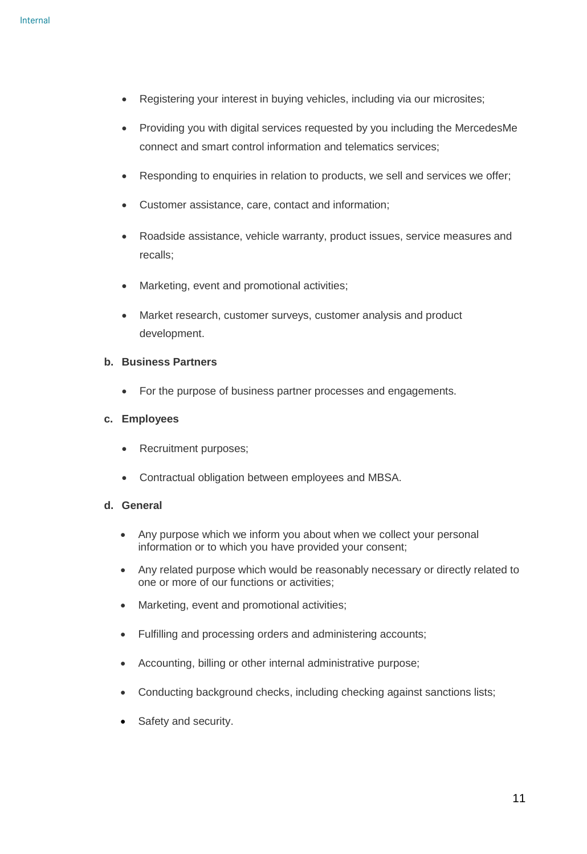- Registering your interest in buying vehicles, including via our microsites;
- Providing you with digital services requested by you including the MercedesMe connect and smart control information and telematics services;
- Responding to enquiries in relation to products, we sell and services we offer;
- Customer assistance, care, contact and information;
- Roadside assistance, vehicle warranty, product issues, service measures and recalls;
- Marketing, event and promotional activities;
- Market research, customer surveys, customer analysis and product development.

#### **b. Business Partners**

• For the purpose of business partner processes and engagements.

#### **c. Employees**

- Recruitment purposes;
- Contractual obligation between employees and MBSA.

#### **d. General**

- Any purpose which we inform you about when we collect your personal information or to which you have provided your consent;
- Any related purpose which would be reasonably necessary or directly related to one or more of our functions or activities;
- Marketing, event and promotional activities;
- Fulfilling and processing orders and administering accounts;
- Accounting, billing or other internal administrative purpose;
- Conducting background checks, including checking against sanctions lists;
- Safety and security.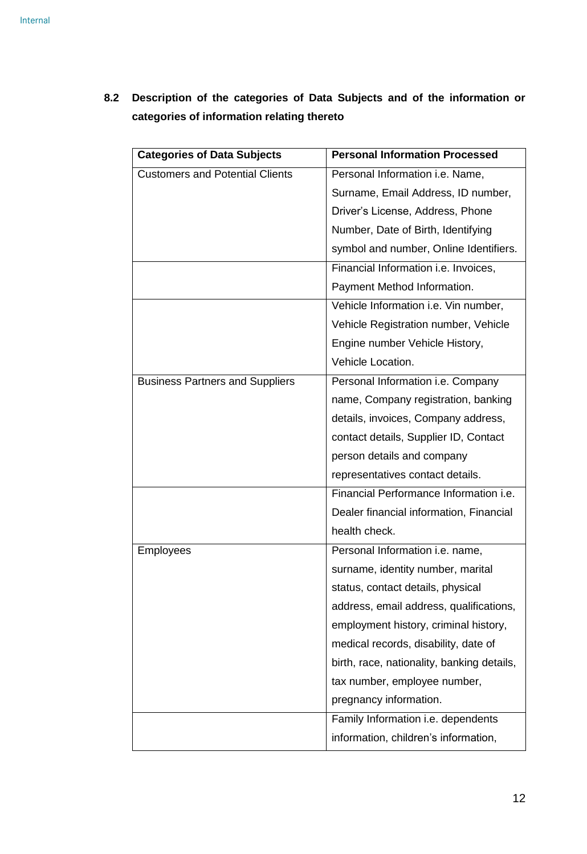| <b>Categories of Data Subjects</b>     | <b>Personal Information Processed</b>         |
|----------------------------------------|-----------------------------------------------|
| <b>Customers and Potential Clients</b> | Personal Information i.e. Name,               |
|                                        | Surname, Email Address, ID number,            |
|                                        | Driver's License, Address, Phone              |
|                                        | Number, Date of Birth, Identifying            |
|                                        | symbol and number, Online Identifiers.        |
|                                        | Financial Information i.e. Invoices,          |
|                                        | Payment Method Information.                   |
|                                        | Vehicle Information i.e. Vin number,          |
|                                        | Vehicle Registration number, Vehicle          |
|                                        | Engine number Vehicle History,                |
|                                        | Vehicle Location.                             |
| <b>Business Partners and Suppliers</b> | Personal Information i.e. Company             |
|                                        | name, Company registration, banking           |
|                                        | details, invoices, Company address,           |
|                                        | contact details, Supplier ID, Contact         |
|                                        | person details and company                    |
|                                        | representatives contact details.              |
|                                        | Financial Performance Information <i>i.e.</i> |
|                                        | Dealer financial information, Financial       |
|                                        | health check.                                 |
| Employees                              | Personal Information i.e. name,               |
|                                        | surname, identity number, marital             |
|                                        | status, contact details, physical             |
|                                        | address, email address, qualifications,       |
|                                        | employment history, criminal history,         |
|                                        | medical records, disability, date of          |
|                                        | birth, race, nationality, banking details,    |
|                                        | tax number, employee number,                  |
|                                        | pregnancy information.                        |
|                                        | Family Information i.e. dependents            |
|                                        | information, children's information,          |

**8.2 Description of the categories of Data Subjects and of the information or categories of information relating thereto**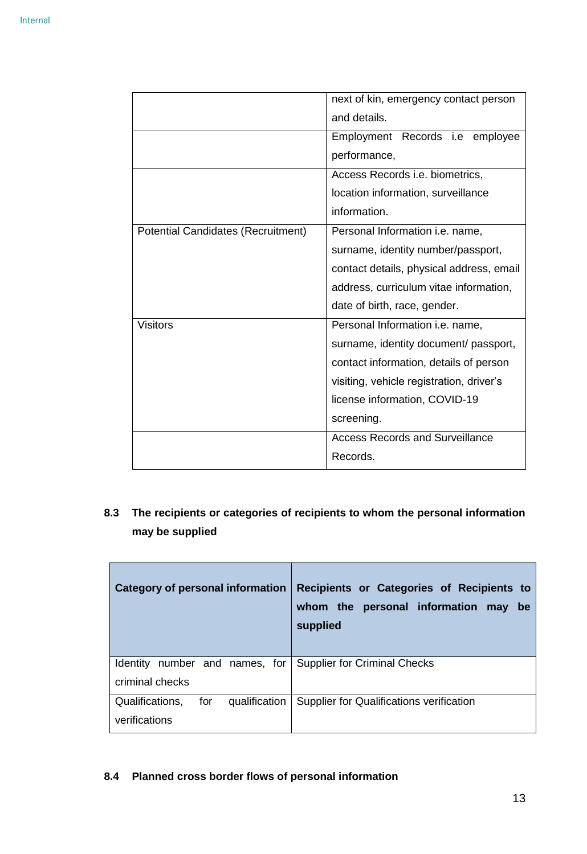|                                           | next of kin, emergency contact person    |
|-------------------------------------------|------------------------------------------|
|                                           | and details.                             |
|                                           | Employment Records i.e employee          |
|                                           | performance,                             |
|                                           | Access Records i.e. biometrics,          |
|                                           | location information, surveillance       |
|                                           | information.                             |
| <b>Potential Candidates (Recruitment)</b> | Personal Information <i>i.e.</i> name,   |
|                                           | surname, identity number/passport,       |
|                                           | contact details, physical address, email |
|                                           | address, curriculum vitae information,   |
|                                           | date of birth, race, gender.             |
| <b>Visitors</b>                           | Personal Information i.e. name,          |
|                                           | surname, identity document/ passport,    |
|                                           | contact information, details of person   |
|                                           | visiting, vehicle registration, driver's |
|                                           | license information, COVID-19            |
|                                           | screening.                               |
|                                           | <b>Access Records and Surveillance</b>   |
|                                           | Records.                                 |

# **8.3 The recipients or categories of recipients to whom the personal information may be supplied**

| Category of personal information                         | Recipients or Categories of Recipients to<br>whom the personal information may<br>be<br>supplied |
|----------------------------------------------------------|--------------------------------------------------------------------------------------------------|
| Identity number and names, for<br>criminal checks        | <b>Supplier for Criminal Checks</b>                                                              |
| Qualifications,<br>for<br>qualification<br>verifications | Supplier for Qualifications verification                                                         |

# **8.4 Planned cross border flows of personal information**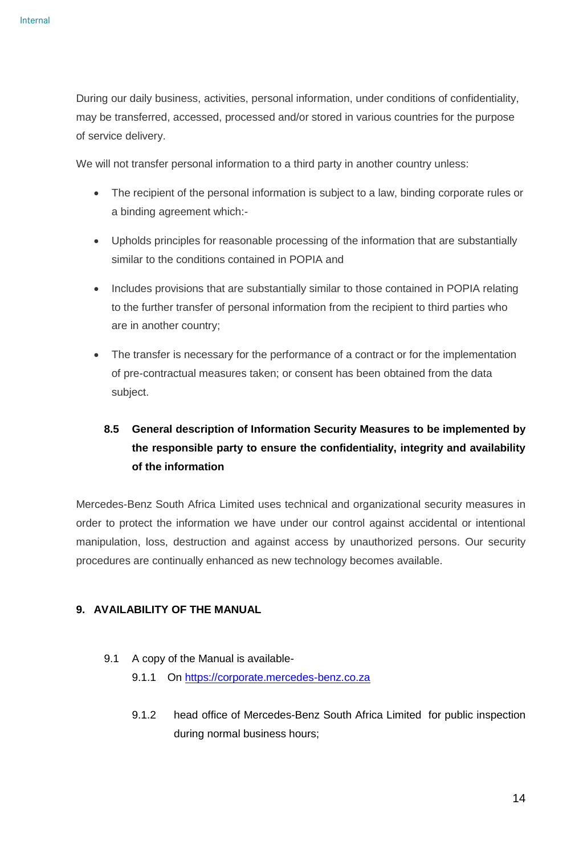During our daily business, activities, personal information, under conditions of confidentiality, may be transferred, accessed, processed and/or stored in various countries for the purpose of service delivery.

We will not transfer personal information to a third party in another country unless:

- The recipient of the personal information is subject to a law, binding corporate rules or a binding agreement which:-
- Upholds principles for reasonable processing of the information that are substantially similar to the conditions contained in POPIA and
- Includes provisions that are substantially similar to those contained in POPIA relating to the further transfer of personal information from the recipient to third parties who are in another country;
- The transfer is necessary for the performance of a contract or for the implementation of pre-contractual measures taken; or consent has been obtained from the data subject.

# **8.5 General description of Information Security Measures to be implemented by the responsible party to ensure the confidentiality, integrity and availability of the information**

Mercedes-Benz South Africa Limited uses technical and organizational security measures in order to protect the information we have under our control against accidental or intentional manipulation, loss, destruction and against access by unauthorized persons. Our security procedures are continually enhanced as new technology becomes available.

#### <span id="page-13-0"></span>**9. AVAILABILITY OF THE MANUAL**

- 9.1 A copy of the Manual is available
	- 9.1.1 On [https://corporate.mercedes-benz.co.za](https://corporate.mercedes-benz.co.za/)
	- 9.1.2 head office of Mercedes-Benz South Africa Limited for public inspection during normal business hours;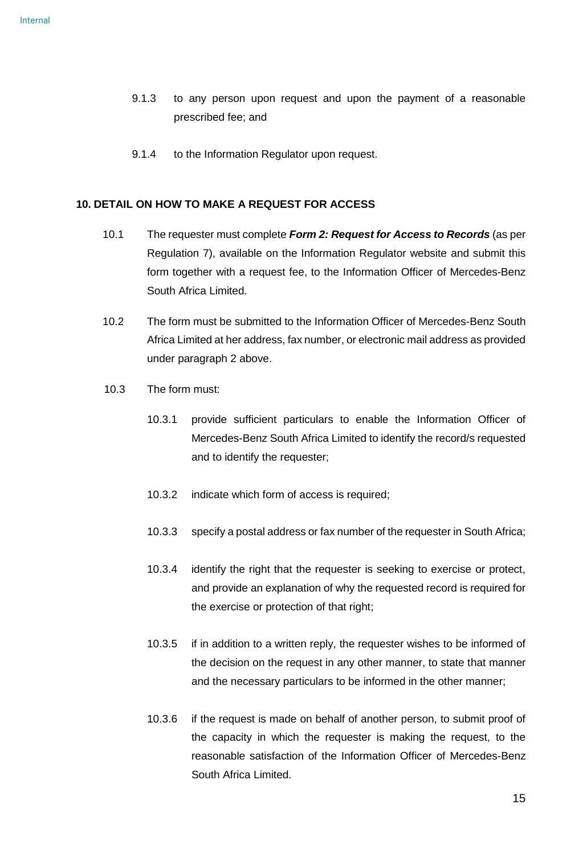- 9.1.3 to any person upon request and upon the payment of a reasonable prescribed fee; and
- 9.1.4 to the Information Regulator upon request.

#### <span id="page-14-0"></span>**10. DETAIL ON HOW TO MAKE A REQUEST FOR ACCESS**

- 10.1 The requester must complete *Form 2: Request for Access to Records* (as per Regulation 7), available on the Information Regulator website and submit this form together with a request fee, to the Information Officer of Mercedes-Benz South Africa Limited.
- 10.2 The form must be submitted to the Information Officer of Mercedes-Benz South Africa Limited at her address, fax number, or electronic mail address as provided under paragraph 2 above.
- 10.3 The form must:
	- 10.3.1 provide sufficient particulars to enable the Information Officer of Mercedes-Benz South Africa Limited to identify the record/s requested and to identify the requester;
	- 10.3.2 indicate which form of access is required;
	- 10.3.3 specify a postal address or fax number of the requester in South Africa;
	- 10.3.4 identify the right that the requester is seeking to exercise or protect, and provide an explanation of why the requested record is required for the exercise or protection of that right;
	- 10.3.5 if in addition to a written reply, the requester wishes to be informed of the decision on the request in any other manner, to state that manner and the necessary particulars to be informed in the other manner;
	- 10.3.6 if the request is made on behalf of another person, to submit proof of the capacity in which the requester is making the request, to the reasonable satisfaction of the Information Officer of Mercedes-Benz South Africa Limited.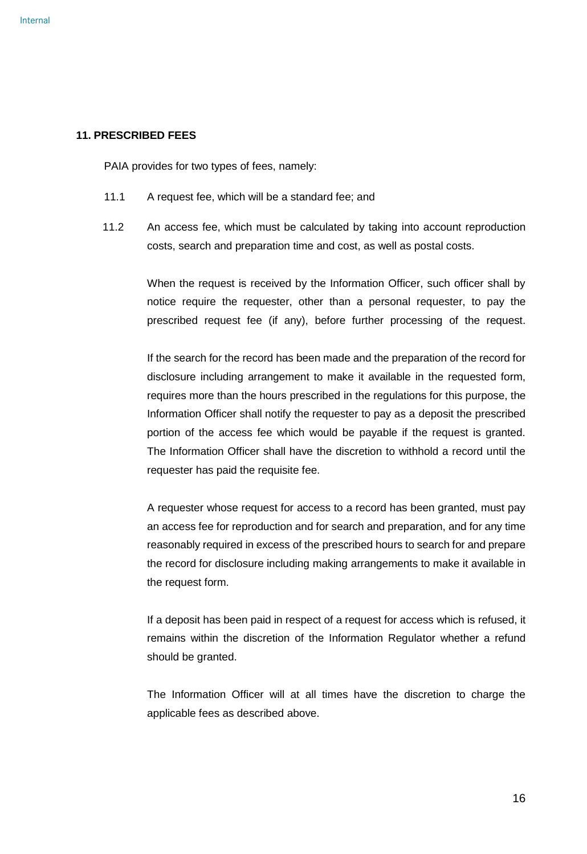#### <span id="page-15-0"></span>**11. PRESCRIBED FEES**

PAIA provides for two types of fees, namely:

- 11.1 A request fee, which will be a standard fee; and
- 11.2 An access fee, which must be calculated by taking into account reproduction costs, search and preparation time and cost, as well as postal costs.

When the request is received by the Information Officer, such officer shall by notice require the requester, other than a personal requester, to pay the prescribed request fee (if any), before further processing of the request.

If the search for the record has been made and the preparation of the record for disclosure including arrangement to make it available in the requested form, requires more than the hours prescribed in the regulations for this purpose, the Information Officer shall notify the requester to pay as a deposit the prescribed portion of the access fee which would be payable if the request is granted. The Information Officer shall have the discretion to withhold a record until the requester has paid the requisite fee.

A requester whose request for access to a record has been granted, must pay an access fee for reproduction and for search and preparation, and for any time reasonably required in excess of the prescribed hours to search for and prepare the record for disclosure including making arrangements to make it available in the request form.

If a deposit has been paid in respect of a request for access which is refused, it remains within the discretion of the Information Regulator whether a refund should be granted.

The Information Officer will at all times have the discretion to charge the applicable fees as described above.